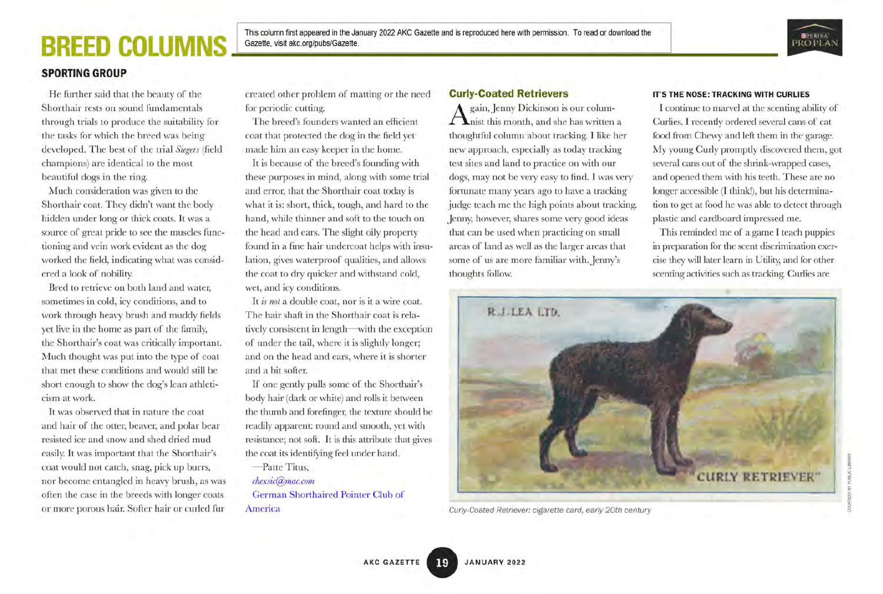## **BREED COLUM**



#### SPORTING GROUP

He further said that the beauty of the Shorthair rests on sound fundamentals through trials to produce the suitability for the tasks for which the breed was being developed. The best of the trial Siegers (field champions) are identical to the most beautiful dogs in the ring.

Much consideration was given to the Shorthair coat. They didn't want the body hidden under long or thick coats. It was a source of great pride to see the muscles functioning and vein work evident as the dog worked the field, indicating what was considered a look of nobility

Bred to retrieve on both land and water, sometimes in cold, icy conditions, and to work through heavy brush and muddy fields yet live in the home as part of the family, the Shorthair's coat was critically important. Much thought was put into the type of coat that met these conditions and would still be short enough to show the dog's lean athleticism at work.

It was observed that in nature the coat and hair of the otter, beaver, and polar bear resisted ice and snow and shed dried mud easily. It was important that the Shorthair's coat would not catch, snag, pick up burrs, nor become entangled in heavy brush, as was often the case in the breeds with longer coats or more porous hair. Softer hair or curled fur

created other problem of matting or the need for periodic cutting.

The breed's founders wanted an efficient coat that protected the dog in the field yet made him an easy keeper in the home.

It is because of the breed's founding with these purposes in mind, along with some trial and error, that the Shorthair coat today is what it is: short, thick, tough, and hard to the hand, while thinner and soft to the touch on the head and ears. The slight oily property found in a fine hair undercoat helps with insulation, gives waterproof qualities, and allows the coat to dry quicker and withstand cold, wet, and icy conditions.

It is not a double coat, nor is it a wire coat. The hair shaft in the Shorthair coat is relatively consistent in length—with the exception of under the tail, where it is slightly longer; and on the head and ears, where it is shorter and a bit softer.

If one gently pulls some of the Shorthair's body hair (dark or white) and rolls it between the thumb and forefinger, the texture should be readily apparent: round and smooth, yet with resistance; not soft. It is this attribute that gives the coat its identifying feel under hand.

—Patte Titus, chexsic@mac. com German Shorthaired Pointer Club of America

#### Curly-Coated Retrievers

gain, Jenny Dickinson is our colum- $\Gamma$  nist this month, and she has written a thoughtful column about tracking. I like her new approach, especially as today tracking test sites and land to practice on with our dogs, may not be very easy to find. I was very fortunate many years ago to have a tracking judge teach me the high points about tracking. Jenny, however, shares some very good ideas that can be used when practicing on small areas of land as well as the larger areas that some of us are more familiar with. Jenny's thoughts follow.

#### IT'S THE NOSE: TRACKING WITH CURLIES

I continue to marvel at the scenting ability of Curlies. I recently ordered several cans of cat food from Chewy and left them in the garage. My young Curly promptly discovered them, got several cans out of the shrink-wrapped cases, and opened them with his teeth. These are no longer accessible (I think!), but his determination to get at food he was able to detect through plastic and cardboard impressed me.

This reminded me of a game I teach puppies in preparation for the scent discrimination exercise they will later learn in Utility, and for other scenting activities such as tracking. Curlies are



Curly-Coated Retriever: cigarette card, early 20th century